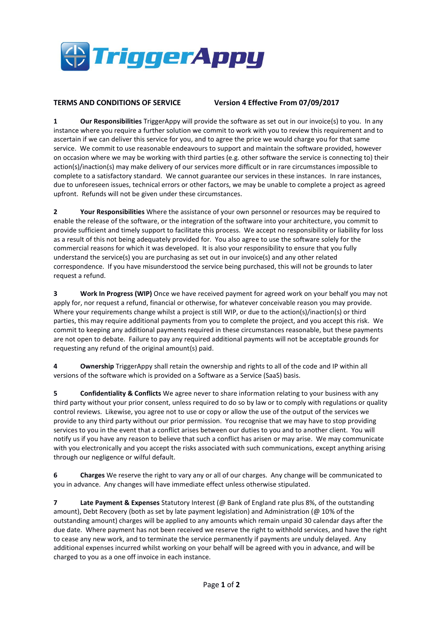

## **TERMS AND CONDITIONS OF SERVICE Version 4 Effective From 07/09/2017**

**1 Our Responsibilities** TriggerAppy will provide the software as set out in our invoice(s) to you. In any instance where you require a further solution we commit to work with you to review this requirement and to ascertain if we can deliver this service for you, and to agree the price we would charge you for that same service. We commit to use reasonable endeavours to support and maintain the software provided, however on occasion where we may be working with third parties (e.g. other software the service is connecting to) their action(s)/inaction(s) may make delivery of our services more difficult or in rare circumstances impossible to complete to a satisfactory standard. We cannot guarantee our services in these instances. In rare instances, due to unforeseen issues, technical errors or other factors, we may be unable to complete a project as agreed upfront. Refunds will not be given under these circumstances.

**2 Your Responsibilities** Where the assistance of your own personnel or resources may be required to enable the release of the software, or the integration of the software into your architecture, you commit to provide sufficient and timely support to facilitate this process. We accept no responsibility or liability for loss as a result of this not being adequately provided for. You also agree to use the software solely for the commercial reasons for which it was developed. It is also your responsibility to ensure that you fully understand the service(s) you are purchasing as set out in our invoice(s) and any other related correspondence. If you have misunderstood the service being purchased, this will not be grounds to later request a refund.

**3 Work In Progress (WIP)** Once we have received payment for agreed work on your behalf you may not apply for, nor request a refund, financial or otherwise, for whatever conceivable reason you may provide. Where your requirements change whilst a project is still WIP, or due to the action(s)/inaction(s) or third parties, this may require additional payments from you to complete the project, and you accept this risk. We commit to keeping any additional payments required in these circumstances reasonable, but these payments are not open to debate. Failure to pay any required additional payments will not be acceptable grounds for requesting any refund of the original amount(s) paid.

**4 Ownership** TriggerAppy shall retain the ownership and rights to all of the code and IP within all versions of the software which is provided on a Software as a Service (SaaS) basis.

**5 Confidentiality & Conflicts** We agree never to share information relating to your business with any third party without your prior consent, unless required to do so by law or to comply with regulations or quality control reviews. Likewise, you agree not to use or copy or allow the use of the output of the services we provide to any third party without our prior permission. You recognise that we may have to stop providing services to you in the event that a conflict arises between our duties to you and to another client. You will notify us if you have any reason to believe that such a conflict has arisen or may arise. We may communicate with you electronically and you accept the risks associated with such communications, except anything arising through our negligence or wilful default.

**6 Charges** We reserve the right to vary any or all of our charges. Any change will be communicated to you in advance. Any changes will have immediate effect unless otherwise stipulated.

**7 Late Payment & Expenses** Statutory Interest (@ Bank of England rate plus 8%, of the outstanding amount), Debt Recovery (both as set by late payment legislation) and Administration (@ 10% of the outstanding amount) charges will be applied to any amounts which remain unpaid 30 calendar days after the due date. Where payment has not been received we reserve the right to withhold services, and have the right to cease any new work, and to terminate the service permanently if payments are unduly delayed. Any additional expenses incurred whilst working on your behalf will be agreed with you in advance, and will be charged to you as a one off invoice in each instance.